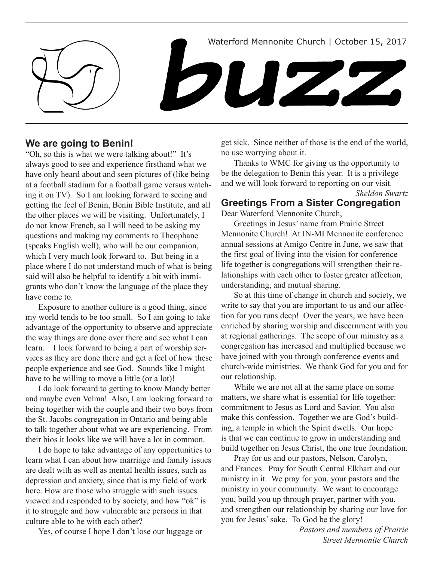Waterford Mennonite Church | October 15, 2017

DUZ2

### **We are going to Benin!**

"Oh, so this is what we were talking about!" It's always good to see and experience firsthand what we have only heard about and seen pictures of (like being at a football stadium for a football game versus watching it on TV). So I am looking forward to seeing and getting the feel of Benin, Benin Bible Institute, and all the other places we will be visiting. Unfortunately, I do not know French, so I will need to be asking my questions and making my comments to Theophane (speaks English well), who will be our companion, which I very much look forward to. But being in a place where I do not understand much of what is being said will also be helpful to identify a bit with immigrants who don't know the language of the place they have come to.

Exposure to another culture is a good thing, since my world tends to be too small. So I am going to take advantage of the opportunity to observe and appreciate the way things are done over there and see what I can learn. I look forward to being a part of worship services as they are done there and get a feel of how these people experience and see God. Sounds like I might have to be willing to move a little (or a lot)!

I do look forward to getting to know Mandy better and maybe even Velma! Also, I am looking forward to being together with the couple and their two boys from the St. Jacobs congregation in Ontario and being able to talk together about what we are experiencing. From their bios it looks like we will have a lot in common.

I do hope to take advantage of any opportunities to learn what I can about how marriage and family issues are dealt with as well as mental health issues, such as depression and anxiety, since that is my field of work here. How are those who struggle with such issues viewed and responded to by society, and how "ok" is it to struggle and how vulnerable are persons in that culture able to be with each other?

Yes, of course I hope I don't lose our luggage or

get sick. Since neither of those is the end of the world, no use worrying about it.

Thanks to WMC for giving us the opportunity to be the delegation to Benin this year. It is a privilege and we will look forward to reporting on our visit. *–Sheldon Swartz*

# **Greetings From a Sister Congregation**

Dear Waterford Mennonite Church,

Greetings in Jesus' name from Prairie Street Mennonite Church! At IN-MI Mennonite conference annual sessions at Amigo Centre in June, we saw that the first goal of living into the vision for conference life together is congregations will strengthen their relationships with each other to foster greater affection, understanding, and mutual sharing.

So at this time of change in church and society, we write to say that you are important to us and our affection for you runs deep! Over the years, we have been enriched by sharing worship and discernment with you at regional gatherings. The scope of our ministry as a congregation has increased and multiplied because we have joined with you through conference events and church-wide ministries. We thank God for you and for our relationship.

While we are not all at the same place on some matters, we share what is essential for life together: commitment to Jesus as Lord and Savior. You also make this confession. Together we are God's building, a temple in which the Spirit dwells. Our hope is that we can continue to grow in understanding and build together on Jesus Christ, the one true foundation.

Pray for us and our pastors, Nelson, Carolyn, and Frances. Pray for South Central Elkhart and our ministry in it. We pray for you, your pastors and the ministry in your community. We want to encourage you, build you up through prayer, partner with you, and strengthen our relationship by sharing our love for you for Jesus' sake. To God be the glory!

> *–Pastors and members of Prairie Street Mennonite Church*